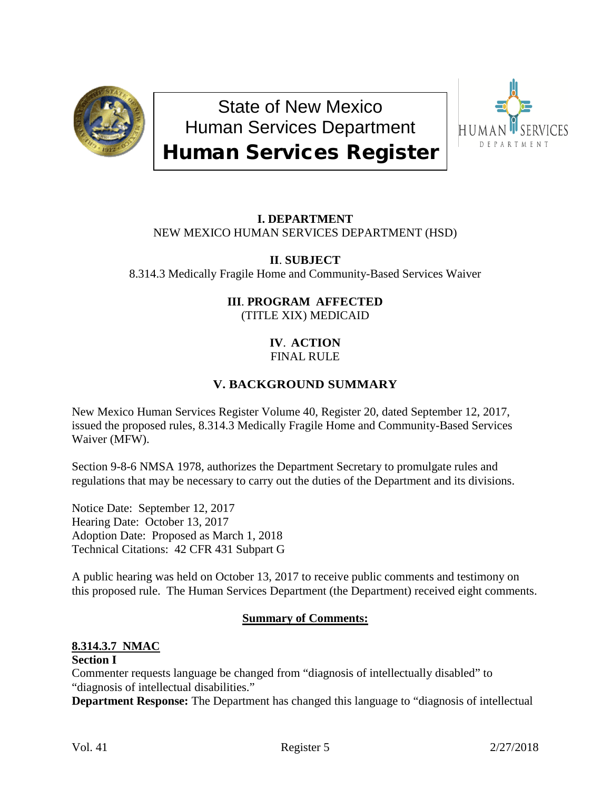

State of New Mexico Human Services Department Human Services Register



# **I. DEPARTMENT** NEW MEXICO HUMAN SERVICES DEPARTMENT (HSD)

# **II**. **SUBJECT**

8.314.3 Medically Fragile Home and Community-Based Services Waiver

## **III**. **PROGRAM AFFECTED** (TITLE XIX) MEDICAID

#### **IV**. **ACTION** FINAL RULE

# **V. BACKGROUND SUMMARY**

New Mexico Human Services Register Volume 40, Register 20, dated September 12, 2017, issued the proposed rules, 8.314.3 Medically Fragile Home and Community-Based Services Waiver (MFW).

Section 9-8-6 NMSA 1978, authorizes the Department Secretary to promulgate rules and regulations that may be necessary to carry out the duties of the Department and its divisions.

Notice Date: September 12, 2017 Hearing Date: October 13, 2017 Adoption Date: Proposed as March 1, 2018 Technical Citations: 42 CFR 431 Subpart G

A public hearing was held on October 13, 2017 to receive public comments and testimony on this proposed rule. The Human Services Department (the Department) received eight comments.

#### **Summary of Comments:**

# **8.314.3.7 NMAC**

#### **Section I**

Commenter requests language be changed from "diagnosis of intellectually disabled" to "diagnosis of intellectual disabilities."

**Department Response:** The Department has changed this language to "diagnosis of intellectual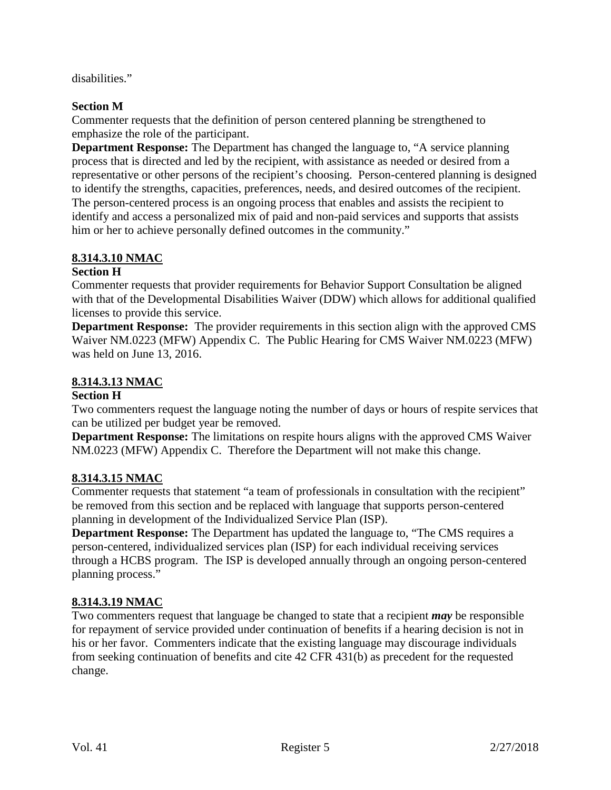disabilities."

#### **Section M**

Commenter requests that the definition of person centered planning be strengthened to emphasize the role of the participant.

**Department Response:** The Department has changed the language to, "A service planning process that is directed and led by the recipient, with assistance as needed or desired from a representative or other persons of the recipient's choosing. Person-centered planning is designed to identify the strengths, capacities, preferences, needs, and desired outcomes of the recipient. The person-centered process is an ongoing process that enables and assists the recipient to identify and access a personalized mix of paid and non-paid services and supports that assists him or her to achieve personally defined outcomes in the community."

### **8.314.3.10 NMAC**

#### **Section H**

Commenter requests that provider requirements for Behavior Support Consultation be aligned with that of the Developmental Disabilities Waiver (DDW) which allows for additional qualified licenses to provide this service.

**Department Response:** The provider requirements in this section align with the approved CMS Waiver NM.0223 (MFW) Appendix C. The Public Hearing for CMS Waiver NM.0223 (MFW) was held on June 13, 2016.

### **8.314.3.13 NMAC**

#### **Section H**

Two commenters request the language noting the number of days or hours of respite services that can be utilized per budget year be removed.

**Department Response:** The limitations on respite hours aligns with the approved CMS Waiver NM.0223 (MFW) Appendix C. Therefore the Department will not make this change.

# **8.314.3.15 NMAC**

Commenter requests that statement "a team of professionals in consultation with the recipient" be removed from this section and be replaced with language that supports person-centered planning in development of the Individualized Service Plan (ISP).

**Department Response:** The Department has updated the language to, "The CMS requires a person-centered, individualized services plan (ISP) for each individual receiving services through a HCBS program. The ISP is developed annually through an ongoing person-centered planning process."

# **8.314.3.19 NMAC**

Two commenters request that language be changed to state that a recipient *may* be responsible for repayment of service provided under continuation of benefits if a hearing decision is not in his or her favor. Commenters indicate that the existing language may discourage individuals from seeking continuation of benefits and cite 42 CFR 431(b) as precedent for the requested change.